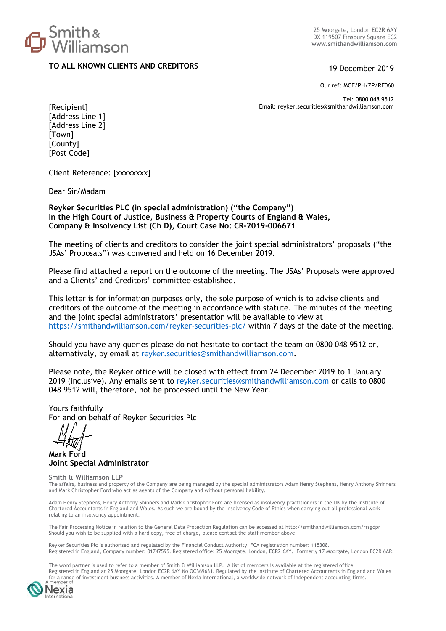

25 Moorgate, London EC2R 6AY DX 119507 Finsbury Square EC2 **www.smithandwilliamson.com**

# **TO ALL KNOWN CLIENTS AND CREDITORS** 19 December 2019

Our ref: MCF/PH/ZP/RF060

Tel: [0800](tel:0800) 048 9512 Email: reyker.securities@smithandwilliamson.com

[Recipient] [Address Line 1] [Address Line 2] [Town] [County] [Post Code]

Client Reference: [xxxxxxxx]

Dear Sir/Madam

**Reyker Securities PLC (in special administration) ("the Company") In the High Court of Justice, Business & Property Courts of England & Wales, Company & Insolvency List (Ch D), Court Case No: CR-2019-006671**

The meeting of clients and creditors to consider the joint special administrators' proposals ("the JSAs' Proposals") was convened and held on 16 December 2019.

Please find attached a report on the outcome of the meeting. The JSAs' Proposals were approved and a Clients' and Creditors' committee established.

This letter is for information purposes only, the sole purpose of which is to advise clients and creditors of the outcome of the meeting in accordance with statute. The minutes of the meeting and the joint special administrators' presentation will be available to view at <https://smithandwilliamson.com/reyker-securities-plc/> within 7 days of the date of the meeting.

Should you have any queries please do not hesitate to contact the team on 0800 048 9512 or, alternatively, by email at [reyker.securities@smithandwilliamson.com.](mailto:reyker.securities@smithandwilliamson.com)

Please note, the Reyker office will be closed with effect from 24 December 2019 to 1 January 2019 (inclusive). Any emails sent to [reyker.securities@smithandwilliamson.com](mailto:reyker.securities@smithandwilliamson.com) or calls to 0800 048 9512 will, therefore, not be processed until the New Year.

Yours faithfully For and on behalf of Reyker Securities Plc

**Mark Ford Joint Special Administrator**

#### **Smith & Williamson LLP**

The affairs, business and property of the Company are being managed by the special administrators Adam Henry Stephens, Henry Anthony Shinners and Mark Christopher Ford who act as agents of the Company and without personal liability.

Adam Henry Stephens, Henry Anthony Shinners and Mark Christopher Ford are licensed as insolvency practitioners in the UK by the Institute of Chartered Accountants in England and Wales. As such we are bound by the Insolvency Code of Ethics when carrying out all professional work relating to an insolvency appointment.

The Fair Processing Notice in relation to the General Data Protection Regulation can be accessed at<http://smithandwilliamson.com/rrsgdpr> Should you wish to be supplied with a hard copy, free of charge, please contact the staff member above.

Reyker Securities Plc is authorised and regulated by the Financial Conduct Authority. FCA registration number: 115308. Registered in England, Company number: 01747595. Registered office: 25 Moorgate, London, ECR2 6AY. Formerly 17 Moorgate, London EC2R 6AR.

The word partner is used to refer to a member of Smith & Williamson LLP. A list of members is available at the registered office Registered in England at 25 Moorgate, London EC2R 6AY No OC369631. Regulated by the Institute of Chartered Accountants in England and Wales for a range of investment business activities. A member of Nexia International, a worldwide network of independent accounting firms.

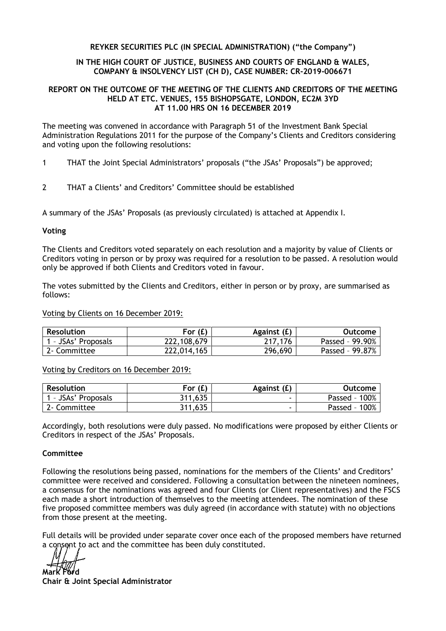# **REYKER SECURITIES PLC (IN SPECIAL ADMINISTRATION) ("the Company")**

## **IN THE HIGH COURT OF JUSTICE, BUSINESS AND COURTS OF ENGLAND & WALES, COMPANY & INSOLVENCY LIST (CH D), CASE NUMBER: CR-2019-006671**

### **REPORT ON THE OUTCOME OF THE MEETING OF THE CLIENTS AND CREDITORS OF THE MEETING HELD AT ETC. VENUES, 155 BISHOPSGATE, LONDON, EC2M 3YD AT 11.00 HRS ON 16 DECEMBER 2019**

The meeting was convened in accordance with Paragraph 51 of the Investment Bank Special Administration Regulations 2011 for the purpose of the Company's Clients and Creditors considering and voting upon the following resolutions:

- 1 THAT the Joint Special Administrators' proposals ("the JSAs' Proposals") be approved;
- 2 THAT a Clients' and Creditors' Committee should be established

A summary of the JSAs' Proposals (as previously circulated) is attached at Appendix I.

# **Voting**

The Clients and Creditors voted separately on each resolution and a majority by value of Clients or Creditors voting in person or by proxy was required for a resolution to be passed. A resolution would only be approved if both Clients and Creditors voted in favour.

The votes submitted by the Clients and Creditors, either in person or by proxy, are summarised as follows:

Voting by Clients on 16 December 2019:

| <b>Resolution</b>   | For $(f)$   | Against (£) | Outcome         |
|---------------------|-------------|-------------|-----------------|
| I - JSAs' Proposals | 222,108,679 | 217,176     | Passed - 99.90% |
| 2- Committee        | 222,014,165 | 296,690     | Passed - 99.87% |

Voting by Creditors on 16 December 2019:

| <b>Resolution</b> | For $(f)$ | Against (£) | Outcome          |
|-------------------|-----------|-------------|------------------|
| - JSAs' Proposals | 311,635   |             | Passed - 100%    |
| 2- Committee      | 311,635   |             | 100%<br>Passed - |

Accordingly, both resolutions were duly passed. No modifications were proposed by either Clients or Creditors in respect of the JSAs' Proposals.

# **Committee**

Following the resolutions being passed, nominations for the members of the Clients' and Creditors' committee were received and considered. Following a consultation between the nineteen nominees, a consensus for the nominations was agreed and four Clients (or Client representatives) and the FSCS each made a short introduction of themselves to the meeting attendees. The nomination of these five proposed committee members was duly agreed (in accordance with statute) with no objections from those present at the meeting.

Full details will be provided under separate cover once each of the proposed members have returned a consent to act and the committee has been duly constituted.

**Mark Ford** 

**Chair & Joint Special Administrator**